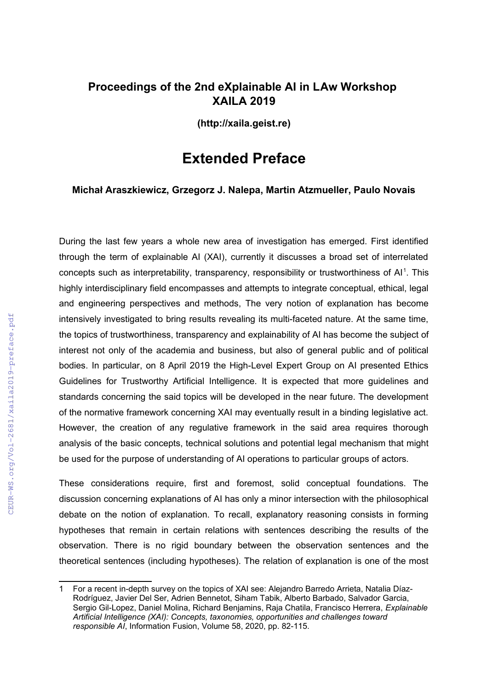## **Proceedings of the 2nd eXplainable AI in LAw Workshop XAILA 2019**

**(http://xaila.geist.re)**

## **Extended Preface**

**Michał Araszkiewicz, Grzegorz J. Nalepa, Martin Atzmueller, Paulo Novais**

During the last few years a whole new area of investigation has emerged. First identified through the term of explainable AI (XAI), currently it discusses a broad set of interrelated concepts such as interpretability, transparency, responsibility or trustworthiness of  $Al<sup>1</sup>$  $Al<sup>1</sup>$  $Al<sup>1</sup>$ . This highly interdisciplinary field encompasses and attempts to integrate conceptual, ethical, legal and engineering perspectives and methods, The very notion of explanation has become intensively investigated to bring results revealing its multi-faceted nature. At the same time, the topics of trustworthiness, transparency and explainability of AI has become the subject of interest not only of the academia and business, but also of general public and of political bodies. In particular, on 8 April 2019 the High-Level Expert Group on AI presented Ethics Guidelines for Trustworthy Artificial Intelligence. It is expected that more guidelines and standards concerning the said topics will be developed in the near future. The development of the normative framework concerning XAI may eventually result in a binding legislative act. However, the creation of any regulative framework in the said area requires thorough analysis of the basic concepts, technical solutions and potential legal mechanism that might be used for the purpose of understanding of AI operations to particular groups of actors.

These considerations require, first and foremost, solid conceptual foundations. The discussion concerning explanations of AI has only a minor intersection with the philosophical debate on the notion of explanation. To recall, explanatory reasoning consists in forming hypotheses that remain in certain relations with sentences describing the results of the observation. There is no rigid boundary between the observation sentences and the theoretical sentences (including hypotheses). The relation of explanation is one of the most

<span id="page-0-0"></span><sup>1</sup> For a recent in-depth survey on the topics of XAI see: Alejandro Barredo Arrieta, Natalia Díaz-Rodríguez, Javier Del Ser, Adrien Bennetot, Siham Tabik, Alberto Barbado, Salvador Garcia, Sergio Gil-Lopez, Daniel Molina, Richard Benjamins, Raja Chatila, Francisco Herrera, *Explainable Artificial Intelligence (XAI): Concepts, taxonomies, opportunities and challenges toward responsible AI*, Information Fusion, Volume 58, 2020, pp. 82-115.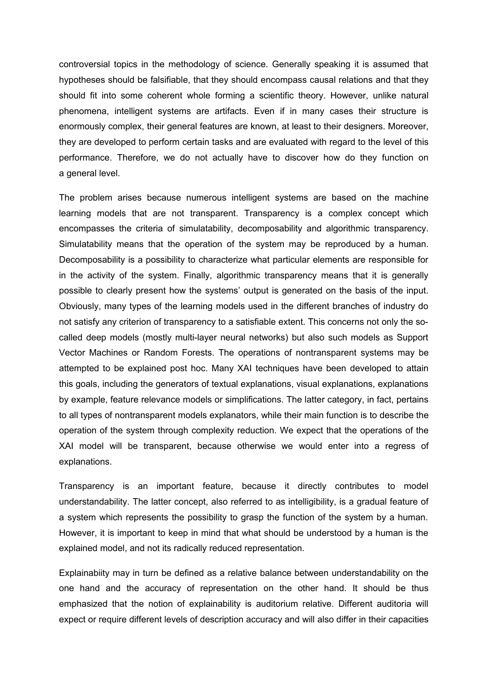controversial topics in the methodology of science. Generally speaking it is assumed that hypotheses should be falsifiable, that they should encompass causal relations and that they should fit into some coherent whole forming a scientific theory. However, unlike natural phenomena, intelligent systems are artifacts. Even if in many cases their structure is enormously complex, their general features are known, at least to their designers. Moreover, they are developed to perform certain tasks and are evaluated with regard to the level of this performance. Therefore, we do not actually have to discover how do they function on a general level.

The problem arises because numerous intelligent systems are based on the machine learning models that are not transparent. Transparency is a complex concept which encompasses the criteria of simulatability, decomposability and algorithmic transparency. Simulatability means that the operation of the system may be reproduced by a human. Decomposability is a possibility to characterize what particular elements are responsible for in the activity of the system. Finally, algorithmic transparency means that it is generally possible to clearly present how the systems' output is generated on the basis of the input. Obviously, many types of the learning models used in the different branches of industry do not satisfy any criterion of transparency to a satisfiable extent. This concerns not only the socalled deep models (mostly multi-layer neural networks) but also such models as Support Vector Machines or Random Forests. The operations of nontransparent systems may be attempted to be explained post hoc. Many XAI techniques have been developed to attain this goals, including the generators of textual explanations, visual explanations, explanations by example, feature relevance models or simplifications. The latter category, in fact, pertains to all types of nontransparent models explanators, while their main function is to describe the operation of the system through complexity reduction. We expect that the operations of the XAI model will be transparent, because otherwise we would enter into a regress of explanations.

Transparency is an important feature, because it directly contributes to model understandability. The latter concept, also referred to as intelligibility, is a gradual feature of a system which represents the possibility to grasp the function of the system by a human. However, it is important to keep in mind that what should be understood by a human is the explained model, and not its radically reduced representation.

Explainabiity may in turn be defined as a relative balance between understandability on the one hand and the accuracy of representation on the other hand. It should be thus emphasized that the notion of explainability is auditorium relative. Different auditoria will expect or require different levels of description accuracy and will also differ in their capacities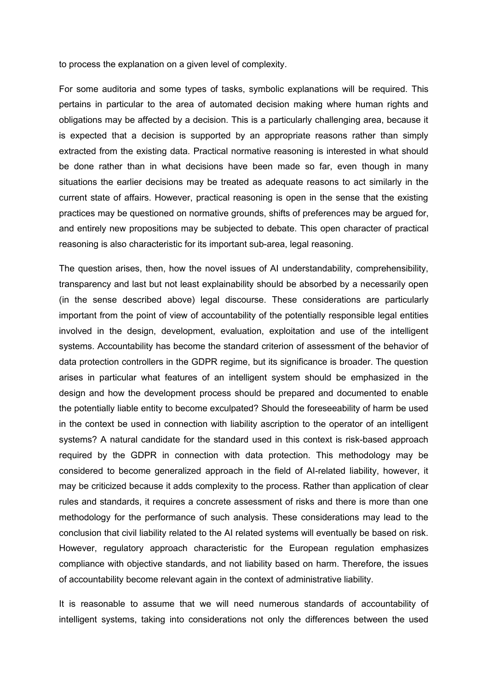to process the explanation on a given level of complexity.

For some auditoria and some types of tasks, symbolic explanations will be required. This pertains in particular to the area of automated decision making where human rights and obligations may be affected by a decision. This is a particularly challenging area, because it is expected that a decision is supported by an appropriate reasons rather than simply extracted from the existing data. Practical normative reasoning is interested in what should be done rather than in what decisions have been made so far, even though in many situations the earlier decisions may be treated as adequate reasons to act similarly in the current state of affairs. However, practical reasoning is open in the sense that the existing practices may be questioned on normative grounds, shifts of preferences may be argued for, and entirely new propositions may be subjected to debate. This open character of practical reasoning is also characteristic for its important sub-area, legal reasoning.

The question arises, then, how the novel issues of AI understandability, comprehensibility, transparency and last but not least explainability should be absorbed by a necessarily open (in the sense described above) legal discourse. These considerations are particularly important from the point of view of accountability of the potentially responsible legal entities involved in the design, development, evaluation, exploitation and use of the intelligent systems. Accountability has become the standard criterion of assessment of the behavior of data protection controllers in the GDPR regime, but its significance is broader. The question arises in particular what features of an intelligent system should be emphasized in the design and how the development process should be prepared and documented to enable the potentially liable entity to become exculpated? Should the foreseeability of harm be used in the context be used in connection with liability ascription to the operator of an intelligent systems? A natural candidate for the standard used in this context is risk-based approach required by the GDPR in connection with data protection. This methodology may be considered to become generalized approach in the field of AI-related liability, however, it may be criticized because it adds complexity to the process. Rather than application of clear rules and standards, it requires a concrete assessment of risks and there is more than one methodology for the performance of such analysis. These considerations may lead to the conclusion that civil liability related to the AI related systems will eventually be based on risk. However, regulatory approach characteristic for the European regulation emphasizes compliance with objective standards, and not liability based on harm. Therefore, the issues of accountability become relevant again in the context of administrative liability.

It is reasonable to assume that we will need numerous standards of accountability of intelligent systems, taking into considerations not only the differences between the used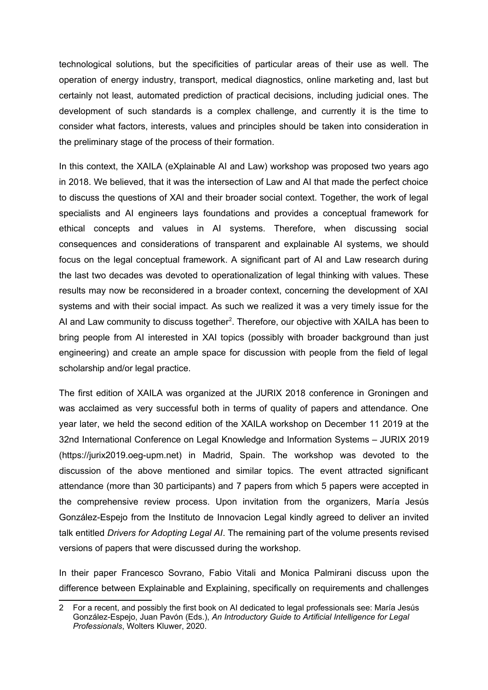technological solutions, but the specificities of particular areas of their use as well. The operation of energy industry, transport, medical diagnostics, online marketing and, last but certainly not least, automated prediction of practical decisions, including judicial ones. The development of such standards is a complex challenge, and currently it is the time to consider what factors, interests, values and principles should be taken into consideration in the preliminary stage of the process of their formation.

In this context, the XAILA (eXplainable AI and Law) workshop was proposed two years ago in 2018. We believed, that it was the intersection of Law and AI that made the perfect choice to discuss the questions of XAI and their broader social context. Together, the work of legal specialists and AI engineers lays foundations and provides a conceptual framework for ethical concepts and values in AI systems. Therefore, when discussing social consequences and considerations of transparent and explainable AI systems, we should focus on the legal conceptual framework. A significant part of AI and Law research during the last two decades was devoted to operationalization of legal thinking with values. These results may now be reconsidered in a broader context, concerning the development of XAI systems and with their social impact. As such we realized it was a very timely issue for the AI and Law community to discuss together<sup>[2](#page-3-0)</sup>. Therefore, our objective with XAILA has been to bring people from AI interested in XAI topics (possibly with broader background than just engineering) and create an ample space for discussion with people from the field of legal scholarship and/or legal practice.

The first edition of XAILA was organized at the JURIX 2018 conference in Groningen and was acclaimed as very successful both in terms of quality of papers and attendance. One year later, we held the second edition of the XAILA workshop on December 11 2019 at the 32nd International Conference on Legal Knowledge and Information Systems – JURIX 2019 (https://jurix2019.oeg-upm.net) in Madrid, Spain. The workshop was devoted to the discussion of the above mentioned and similar topics. The event attracted significant attendance (more than 30 participants) and 7 papers from which 5 papers were accepted in the comprehensive review process. Upon invitation from the organizers, María Jesús González-Espejo from the Instituto de Innovacion Legal kindly agreed to deliver an invited talk entitled *Drivers for Adopting Legal AI*. The remaining part of the volume presents revised versions of papers that were discussed during the workshop.

In their paper Francesco Sovrano, Fabio Vitali and Monica Palmirani discuss upon the difference between Explainable and Explaining, specifically on requirements and challenges

<span id="page-3-0"></span><sup>2</sup> For a recent, and possibly the first book on AI dedicated to legal professionals see: María Jesús González-Espejo, Juan Pavón (Eds.), *An Introductory Guide to Artificial Intelligence for Legal Professionals*, Wolters Kluwer, 2020.